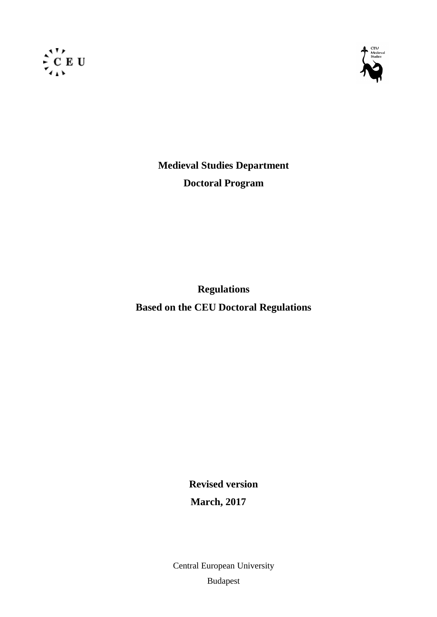



**Medieval Studies Department Doctoral Program**

**Regulations Based on the CEU Doctoral Regulations**

> **Revised version March, 2017**

Central European University Budapest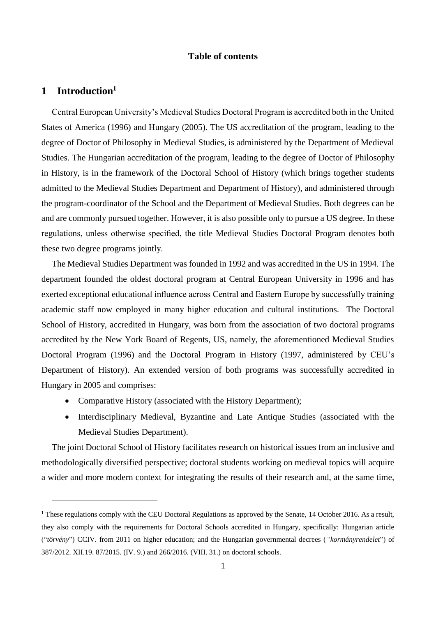## **Table of contents**

# **1 Introduction<sup>1</sup>**

1

Central European University's Medieval Studies Doctoral Program is accredited both in the United States of America (1996) and Hungary (2005). The US accreditation of the program, leading to the degree of Doctor of Philosophy in Medieval Studies, is administered by the Department of Medieval Studies. The Hungarian accreditation of the program, leading to the degree of Doctor of Philosophy in History, is in the framework of the Doctoral School of History (which brings together students admitted to the Medieval Studies Department and Department of History), and administered through the program-coordinator of the School and the Department of Medieval Studies. Both degrees can be and are commonly pursued together. However, it is also possible only to pursue a US degree. In these regulations, unless otherwise specified, the title Medieval Studies Doctoral Program denotes both these two degree programs jointly.

The Medieval Studies Department was founded in 1992 and was accredited in the US in 1994. The department founded the oldest doctoral program at Central European University in 1996 and has exerted exceptional educational influence across Central and Eastern Europe by successfully training academic staff now employed in many higher education and cultural institutions. The Doctoral School of History, accredited in Hungary, was born from the association of two doctoral programs accredited by the New York Board of Regents, US, namely, the aforementioned Medieval Studies Doctoral Program (1996) and the Doctoral Program in History (1997, administered by CEU's Department of History). An extended version of both programs was successfully accredited in Hungary in 2005 and comprises:

- Comparative History (associated with the History Department);
- Interdisciplinary Medieval, Byzantine and Late Antique Studies (associated with the Medieval Studies Department).

The joint Doctoral School of History facilitates research on historical issues from an inclusive and methodologically diversified perspective; doctoral students working on medieval topics will acquire a wider and more modern context for integrating the results of their research and, at the same time,

**<sup>1</sup>** These regulations comply with the CEU Doctoral Regulations as approved by the Senate, 14 October 2016. As a result, they also comply with the requirements for Doctoral Schools accredited in Hungary, specifically: Hungarian article ("*törvény*") CCIV. from 2011 on higher education; and the Hungarian governmental decrees (*"kormányrendelet*") of 387/2012. XII.19. 87/2015. (IV. 9.) and 266/2016. (VIII. 31.) on doctoral schools.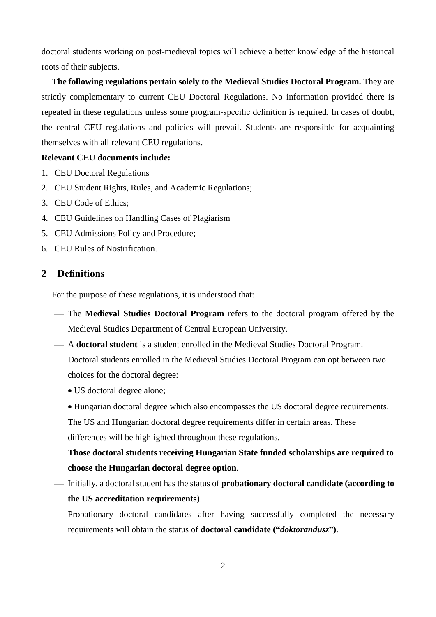doctoral students working on post-medieval topics will achieve a better knowledge of the historical roots of their subjects.

**The following regulations pertain solely to the Medieval Studies Doctoral Program.** They are strictly complementary to current CEU Doctoral Regulations. No information provided there is repeated in these regulations unless some program-specific definition is required. In cases of doubt, the central CEU regulations and policies will prevail. Students are responsible for acquainting themselves with all relevant CEU regulations.

## **Relevant CEU documents include:**

- 1. CEU Doctoral Regulations
- 2. CEU Student Rights, Rules, and Academic Regulations;
- 3. CEU Code of Ethics;
- 4. CEU [Guidelines on Handling Cases of Plagiarism](http://documents.ceu.hu/documents/g-1009-1)
- 5. CEU Admissions Policy and Procedure;
- 6. CEU Rules of Nostrification.

## **2 Definitions**

For the purpose of these regulations, it is understood that:

- The **Medieval Studies Doctoral Program** refers to the doctoral program offered by the Medieval Studies Department of Central European University.
- A **doctoral student** is a student enrolled in the Medieval Studies Doctoral Program.

Doctoral students enrolled in the Medieval Studies Doctoral Program can opt between two choices for the doctoral degree:

- US doctoral degree alone;
- Hungarian doctoral degree which also encompasses the US doctoral degree requirements.

The US and Hungarian doctoral degree requirements differ in certain areas. These differences will be highlighted throughout these regulations.

**Those doctoral students receiving Hungarian State funded scholarships are required to choose the Hungarian doctoral degree option**.

- Initially, a doctoral student has the status of **probationary doctoral candidate (according to the US accreditation requirements)**.
- Probationary doctoral candidates after having successfully completed the necessary requirements will obtain the status of **doctoral candidate ("***doktorandusz***")**.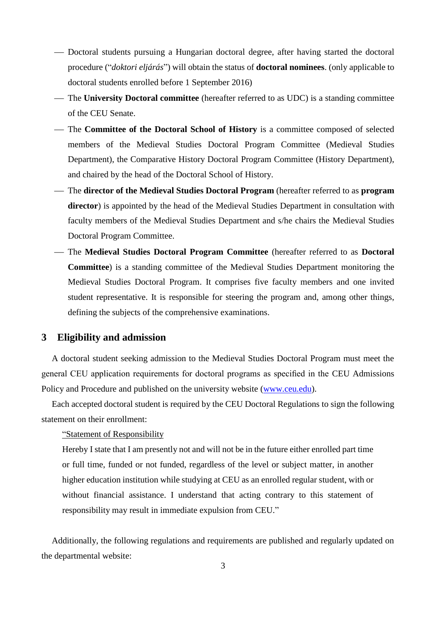- Doctoral students pursuing a Hungarian doctoral degree, after having started the doctoral procedure ("*doktori eljárás*") will obtain the status of **doctoral nominees**. (only applicable to doctoral students enrolled before 1 September 2016)
- The **University Doctoral committee** (hereafter referred to as UDC) is a standing committee of the CEU Senate.
- The **Committee of the Doctoral School of History** is a committee composed of selected members of the Medieval Studies Doctoral Program Committee (Medieval Studies Department), the Comparative History Doctoral Program Committee (History Department), and chaired by the head of the Doctoral School of History.
- The **director of the Medieval Studies Doctoral Program** (hereafter referred to as **program director**) is appointed by the head of the Medieval Studies Department in consultation with faculty members of the Medieval Studies Department and s/he chairs the Medieval Studies Doctoral Program Committee.
- The **Medieval Studies Doctoral Program Committee** (hereafter referred to as **Doctoral Committee**) is a standing committee of the Medieval Studies Department monitoring the Medieval Studies Doctoral Program. It comprises five faculty members and one invited student representative. It is responsible for steering the program and, among other things, defining the subjects of the comprehensive examinations.

## **3 Eligibility and admission**

A doctoral student seeking admission to the Medieval Studies Doctoral Program must meet the general CEU application requirements for doctoral programs as specified in the CEU Admissions Policy and Procedure and published on the university website [\(www.ceu.edu\)](http://www.ceu.edu/).

Each accepted doctoral student is required by the CEU Doctoral Regulations to sign the following statement on their enrollment:

"Statement of Responsibility

Hereby I state that I am presently not and will not be in the future either enrolled part time or full time, funded or not funded, regardless of the level or subject matter, in another higher education institution while studying at CEU as an enrolled regular student, with or without financial assistance. I understand that acting contrary to this statement of responsibility may result in immediate expulsion from CEU."

Additionally, the following regulations and requirements are published and regularly updated on the departmental website: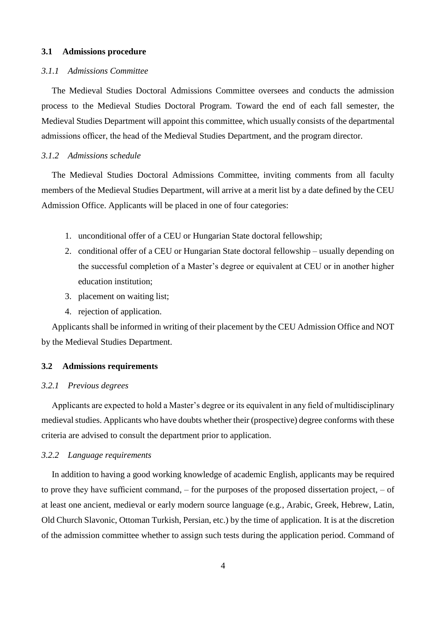## **3.1 Admissions procedure**

## *3.1.1 Admissions Committee*

The Medieval Studies Doctoral Admissions Committee oversees and conducts the admission process to the Medieval Studies Doctoral Program. Toward the end of each fall semester, the Medieval Studies Department will appoint this committee, which usually consists of the departmental admissions officer, the head of the Medieval Studies Department, and the program director.

### *3.1.2 Admissions schedule*

The Medieval Studies Doctoral Admissions Committee, inviting comments from all faculty members of the Medieval Studies Department, will arrive at a merit list by a date defined by the CEU Admission Office. Applicants will be placed in one of four categories:

- 1. unconditional offer of a CEU or Hungarian State doctoral fellowship;
- 2. conditional offer of a CEU or Hungarian State doctoral fellowship usually depending on the successful completion of a Master's degree or equivalent at CEU or in another higher education institution;
- 3. placement on waiting list;
- 4. rejection of application.

Applicants shall be informed in writing of their placement by the CEU Admission Office and NOT by the Medieval Studies Department.

#### **3.2 Admissions requirements**

## *3.2.1 Previous degrees*

Applicants are expected to hold a Master's degree or its equivalent in any field of multidisciplinary medieval studies. Applicants who have doubts whether their (prospective) degree conforms with these criteria are advised to consult the department prior to application.

## *3.2.2 Language requirements*

In addition to having a good working knowledge of academic English, applicants may be required to prove they have sufficient command, – for the purposes of the proposed dissertation project, – of at least one ancient, medieval or early modern source language (e.g., Arabic, Greek, Hebrew, Latin, Old Church Slavonic, Ottoman Turkish, Persian, etc.) by the time of application. It is at the discretion of the admission committee whether to assign such tests during the application period. Command of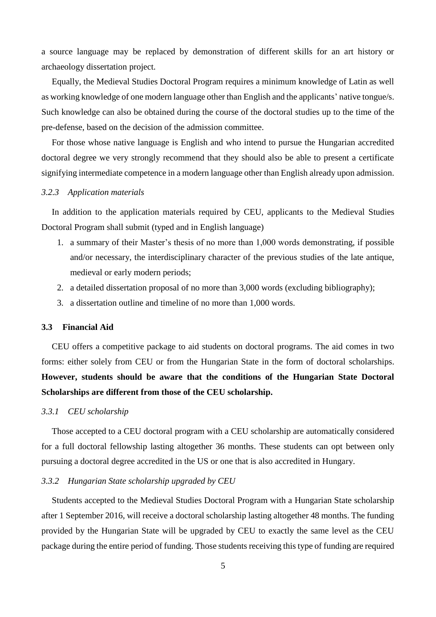a source language may be replaced by demonstration of different skills for an art history or archaeology dissertation project.

Equally, the Medieval Studies Doctoral Program requires a minimum knowledge of Latin as well as working knowledge of one modern language other than English and the applicants' native tongue/s. Such knowledge can also be obtained during the course of the doctoral studies up to the time of the pre-defense, based on the decision of the admission committee.

For those whose native language is English and who intend to pursue the Hungarian accredited doctoral degree we very strongly recommend that they should also be able to present a certificate signifying intermediate competence in a modern language other than English already upon admission.

## *3.2.3 Application materials*

In addition to the application materials required by CEU, applicants to the Medieval Studies Doctoral Program shall submit (typed and in English language)

- 1. a summary of their Master's thesis of no more than 1,000 words demonstrating, if possible and/or necessary, the interdisciplinary character of the previous studies of the late antique, medieval or early modern periods;
- 2. a detailed dissertation proposal of no more than 3,000 words (excluding bibliography);
- 3. a dissertation outline and timeline of no more than 1,000 words.

#### **3.3 Financial Aid**

CEU offers a competitive package to aid students on doctoral programs. The aid comes in two forms: either solely from CEU or from the Hungarian State in the form of doctoral scholarships. **However, students should be aware that the conditions of the Hungarian State Doctoral Scholarships are different from those of the CEU scholarship.**

#### *3.3.1 CEU scholarship*

Those accepted to a CEU doctoral program with a CEU scholarship are automatically considered for a full doctoral fellowship lasting altogether 36 months. These students can opt between only pursuing a doctoral degree accredited in the US or one that is also accredited in Hungary.

#### *3.3.2 Hungarian State scholarship upgraded by CEU*

Students accepted to the Medieval Studies Doctoral Program with a Hungarian State scholarship after 1 September 2016, will receive a doctoral scholarship lasting altogether 48 months. The funding provided by the Hungarian State will be upgraded by CEU to exactly the same level as the CEU package during the entire period of funding. Those students receiving this type of funding are required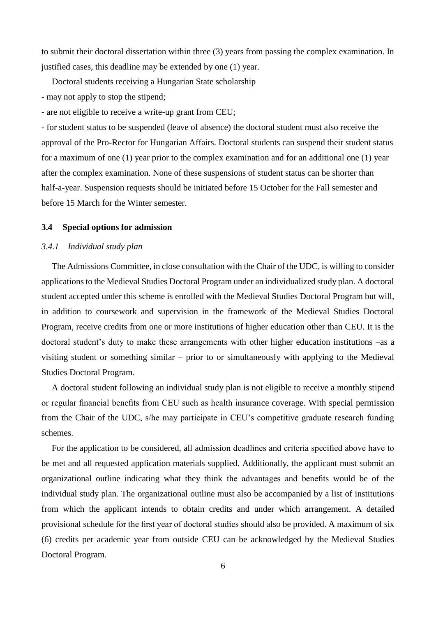to submit their doctoral dissertation within three (3) years from passing the complex examination. In justified cases, this deadline may be extended by one (1) year.

Doctoral students receiving a Hungarian State scholarship - may not apply to stop the stipend;

- are not eligible to receive a write-up grant from CEU;

- for student status to be suspended (leave of absence) the doctoral student must also receive the approval of the Pro-Rector for Hungarian Affairs. Doctoral students can suspend their student status for a maximum of one (1) year prior to the complex examination and for an additional one (1) year after the complex examination. None of these suspensions of student status can be shorter than half-a-year. Suspension requests should be initiated before 15 October for the Fall semester and before 15 March for the Winter semester.

## **3.4 Special options for admission**

## *3.4.1 Individual study plan*

The Admissions Committee, in close consultation with the Chair of the UDC, is willing to consider applications to the Medieval Studies Doctoral Program under an individualized study plan. A doctoral student accepted under this scheme is enrolled with the Medieval Studies Doctoral Program but will, in addition to coursework and supervision in the framework of the Medieval Studies Doctoral Program, receive credits from one or more institutions of higher education other than CEU. It is the doctoral student's duty to make these arrangements with other higher education institutions –as a visiting student or something similar – prior to or simultaneously with applying to the Medieval Studies Doctoral Program.

A doctoral student following an individual study plan is not eligible to receive a monthly stipend or regular financial benefits from CEU such as health insurance coverage. With special permission from the Chair of the UDC, s/he may participate in CEU's competitive graduate research funding schemes.

For the application to be considered, all admission deadlines and criteria specified above have to be met and all requested application materials supplied. Additionally, the applicant must submit an organizational outline indicating what they think the advantages and benefits would be of the individual study plan. The organizational outline must also be accompanied by a list of institutions from which the applicant intends to obtain credits and under which arrangement. A detailed provisional schedule for the first year of doctoral studies should also be provided. A maximum of six (6) credits per academic year from outside CEU can be acknowledged by the Medieval Studies Doctoral Program.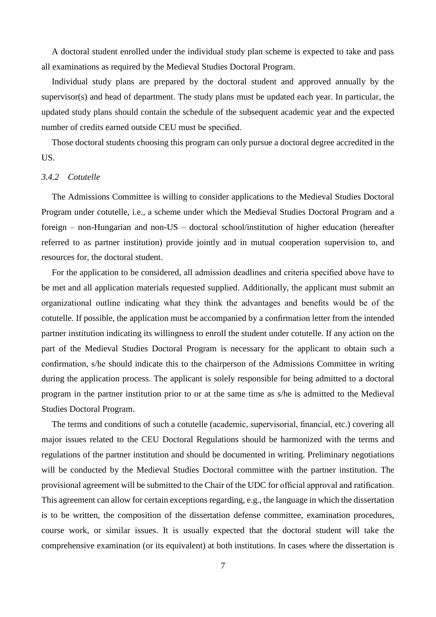A doctoral student enrolled under the individual study plan scheme is expected to take and pass all examinations as required by the Medieval Studies Doctoral Program.

Individual study plans are prepared by the doctoral student and approved annually by the supervisor(s) and head of department. The study plans must be updated each year. In particular, the updated study plans should contain the schedule of the subsequent academic year and the expected number of credits earned outside CEU must be specified.

Those doctoral students choosing this program can only pursue a doctoral degree accredited in the US.

## *3.4.2 Cotutelle*

The Admissions Committee is willing to consider applications to the Medieval Studies Doctoral Program under cotutelle, i.e., a scheme under which the Medieval Studies Doctoral Program and a foreign – non-Hungarian and non-US – doctoral school/institution of higher education (hereafter referred to as partner institution) provide jointly and in mutual cooperation supervision to, and resources for, the doctoral student.

For the application to be considered, all admission deadlines and criteria specified above have to be met and all application materials requested supplied. Additionally, the applicant must submit an organizational outline indicating what they think the advantages and benefits would be of the cotutelle. If possible, the application must be accompanied by a confirmation letter from the intended partner institution indicating its willingness to enroll the student under cotutelle. If any action on the part of the Medieval Studies Doctoral Program is necessary for the applicant to obtain such a confirmation, s/he should indicate this to the chairperson of the Admissions Committee in writing during the application process. The applicant is solely responsible for being admitted to a doctoral program in the partner institution prior to or at the same time as s/he is admitted to the Medieval Studies Doctoral Program.

The terms and conditions of such a cotutelle (academic, supervisorial, financial, etc.) covering all major issues related to the CEU Doctoral Regulations should be harmonized with the terms and regulations of the partner institution and should be documented in writing. Preliminary negotiations will be conducted by the Medieval Studies Doctoral committee with the partner institution. The provisional agreement will be submitted to the Chair of the UDC for official approval and ratification. This agreement can allow for certain exceptions regarding, e.g., the language in which the dissertation is to be written, the composition of the dissertation defense committee, examination procedures, course work, or similar issues. It is usually expected that the doctoral student will take the comprehensive examination (or its equivalent) at both institutions. In cases where the dissertation is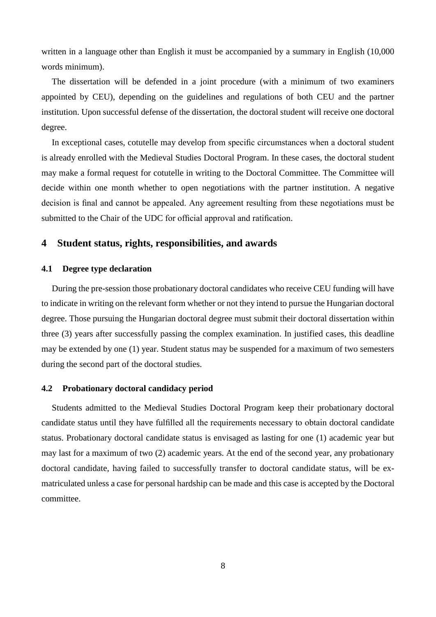written in a language other than English it must be accompanied by a summary in English (10,000 words minimum).

The dissertation will be defended in a joint procedure (with a minimum of two examiners appointed by CEU), depending on the guidelines and regulations of both CEU and the partner institution. Upon successful defense of the dissertation, the doctoral student will receive one doctoral degree.

In exceptional cases, cotutelle may develop from specific circumstances when a doctoral student is already enrolled with the Medieval Studies Doctoral Program. In these cases, the doctoral student may make a formal request for cotutelle in writing to the Doctoral Committee. The Committee will decide within one month whether to open negotiations with the partner institution. A negative decision is final and cannot be appealed. Any agreement resulting from these negotiations must be submitted to the Chair of the UDC for official approval and ratification.

## **4 Student status, rights, responsibilities, and awards**

## **4.1 Degree type declaration**

During the pre-session those probationary doctoral candidates who receive CEU funding will have to indicate in writing on the relevant form whether or not they intend to pursue the Hungarian doctoral degree. Those pursuing the Hungarian doctoral degree must submit their doctoral dissertation within three (3) years after successfully passing the complex examination. In justified cases, this deadline may be extended by one (1) year. Student status may be suspended for a maximum of two semesters during the second part of the doctoral studies.

#### **4.2 Probationary doctoral candidacy period**

Students admitted to the Medieval Studies Doctoral Program keep their probationary doctoral candidate status until they have fulfilled all the requirements necessary to obtain doctoral candidate status. Probationary doctoral candidate status is envisaged as lasting for one (1) academic year but may last for a maximum of two (2) academic years. At the end of the second year, any probationary doctoral candidate, having failed to successfully transfer to doctoral candidate status, will be exmatriculated unless a case for personal hardship can be made and this case is accepted by the Doctoral committee.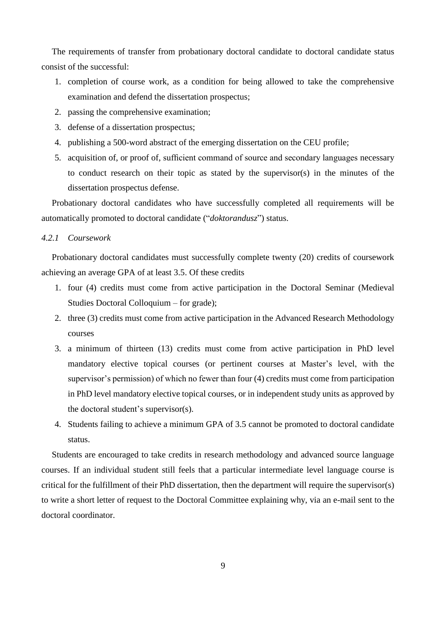The requirements of transfer from probationary doctoral candidate to doctoral candidate status consist of the successful:

- 1. completion of course work, as a condition for being allowed to take the comprehensive examination and defend the dissertation prospectus;
- 2. passing the comprehensive examination;
- 3. defense of a dissertation prospectus;
- 4. publishing a 500-word abstract of the emerging dissertation on the CEU profile;
- 5. acquisition of, or proof of, sufficient command of source and secondary languages necessary to conduct research on their topic as stated by the supervisor(s) in the minutes of the dissertation prospectus defense.

Probationary doctoral candidates who have successfully completed all requirements will be automatically promoted to doctoral candidate ("*doktorandusz*") status.

## *4.2.1 Coursework*

Probationary doctoral candidates must successfully complete twenty (20) credits of coursework achieving an average GPA of at least 3.5. Of these credits

- 1. four (4) credits must come from active participation in the Doctoral Seminar (Medieval Studies Doctoral Colloquium – for grade);
- 2. three (3) credits must come from active participation in the Advanced Research Methodology courses
- 3. a minimum of thirteen (13) credits must come from active participation in PhD level mandatory elective topical courses (or pertinent courses at Master's level, with the supervisor's permission) of which no fewer than four (4) credits must come from participation in PhD level mandatory elective topical courses, or in independent study units as approved by the doctoral student's supervisor(s).
- 4. Students failing to achieve a minimum GPA of 3.5 cannot be promoted to doctoral candidate status.

Students are encouraged to take credits in research methodology and advanced source language courses. If an individual student still feels that a particular intermediate level language course is critical for the fulfillment of their PhD dissertation, then the department will require the supervisor(s) to write a short letter of request to the Doctoral Committee explaining why, via an e-mail sent to the doctoral coordinator.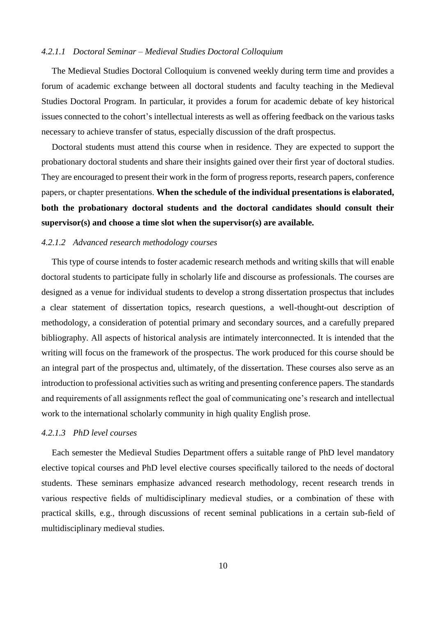## *4.2.1.1 Doctoral Seminar – Medieval Studies Doctoral Colloquium*

The Medieval Studies Doctoral Colloquium is convened weekly during term time and provides a forum of academic exchange between all doctoral students and faculty teaching in the Medieval Studies Doctoral Program. In particular, it provides a forum for academic debate of key historical issues connected to the cohort's intellectual interests as well as offering feedback on the various tasks necessary to achieve transfer of status, especially discussion of the draft prospectus.

Doctoral students must attend this course when in residence. They are expected to support the probationary doctoral students and share their insights gained over their first year of doctoral studies. They are encouraged to present their work in the form of progress reports, research papers, conference papers, or chapter presentations. **When the schedule of the individual presentations is elaborated, both the probationary doctoral students and the doctoral candidates should consult their supervisor(s) and choose a time slot when the supervisor(s) are available.**

#### *4.2.1.2 Advanced research methodology courses*

This type of course intends to foster academic research methods and writing skills that will enable doctoral students to participate fully in scholarly life and discourse as professionals. The courses are designed as a venue for individual students to develop a strong dissertation prospectus that includes a clear statement of dissertation topics, research questions, a well-thought-out description of methodology, a consideration of potential primary and secondary sources, and a carefully prepared bibliography. All aspects of historical analysis are intimately interconnected. It is intended that the writing will focus on the framework of the prospectus. The work produced for this course should be an integral part of the prospectus and, ultimately, of the dissertation. These courses also serve as an introduction to professional activities such as writing and presenting conference papers. The standards and requirements of all assignments reflect the goal of communicating one's research and intellectual work to the international scholarly community in high quality English prose.

## *4.2.1.3 PhD level courses*

Each semester the Medieval Studies Department offers a suitable range of PhD level mandatory elective topical courses and PhD level elective courses specifically tailored to the needs of doctoral students. These seminars emphasize advanced research methodology, recent research trends in various respective fields of multidisciplinary medieval studies, or a combination of these with practical skills, e.g., through discussions of recent seminal publications in a certain sub-field of multidisciplinary medieval studies.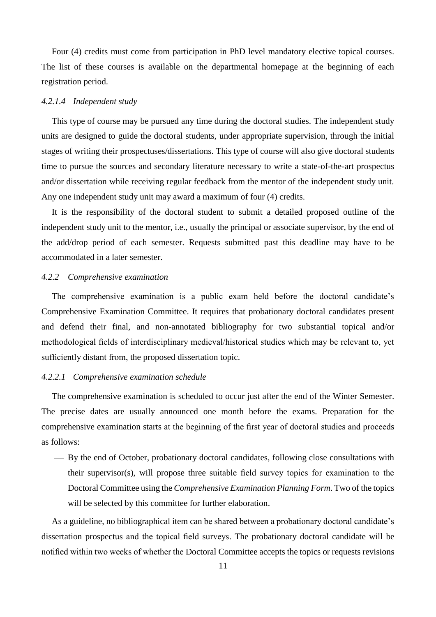Four (4) credits must come from participation in PhD level mandatory elective topical courses. The list of these courses is available on the departmental homepage at the beginning of each registration period.

## *4.2.1.4 Independent study*

This type of course may be pursued any time during the doctoral studies. The independent study units are designed to guide the doctoral students, under appropriate supervision, through the initial stages of writing their prospectuses/dissertations. This type of course will also give doctoral students time to pursue the sources and secondary literature necessary to write a state-of-the-art prospectus and/or dissertation while receiving regular feedback from the mentor of the independent study unit. Any one independent study unit may award a maximum of four (4) credits.

It is the responsibility of the doctoral student to submit a detailed proposed outline of the independent study unit to the mentor, i.e., usually the principal or associate supervisor, by the end of the add/drop period of each semester. Requests submitted past this deadline may have to be accommodated in a later semester.

## *4.2.2 Comprehensive examination*

The comprehensive examination is a public exam held before the doctoral candidate's Comprehensive Examination Committee. It requires that probationary doctoral candidates present and defend their final, and non-annotated bibliography for two substantial topical and/or methodological fields of interdisciplinary medieval/historical studies which may be relevant to, yet sufficiently distant from, the proposed dissertation topic.

## *4.2.2.1 Comprehensive examination schedule*

The comprehensive examination is scheduled to occur just after the end of the Winter Semester. The precise dates are usually announced one month before the exams. Preparation for the comprehensive examination starts at the beginning of the first year of doctoral studies and proceeds as follows:

 By the end of October, probationary doctoral candidates, following close consultations with their supervisor(s), will propose three suitable field survey topics for examination to the Doctoral Committee using the *Comprehensive Examination Planning Form*. Two of the topics will be selected by this committee for further elaboration.

As a guideline, no bibliographical item can be shared between a probationary doctoral candidate's dissertation prospectus and the topical field surveys. The probationary doctoral candidate will be notified within two weeks of whether the Doctoral Committee accepts the topics or requests revisions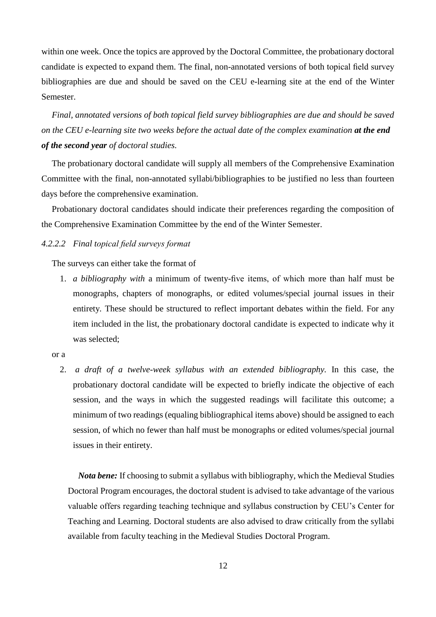within one week. Once the topics are approved by the Doctoral Committee, the probationary doctoral candidate is expected to expand them. The final, non-annotated versions of both topical field survey bibliographies are due and should be saved on the CEU e-learning site at the end of the Winter Semester.

*Final, annotated versions of both topical field survey bibliographies are due and should be saved on the CEU e-learning site two weeks before the actual date of the complex examination at the end of the second year of doctoral studies.*

The probationary doctoral candidate will supply all members of the Comprehensive Examination Committee with the final, non-annotated syllabi/bibliographies to be justified no less than fourteen days before the comprehensive examination.

Probationary doctoral candidates should indicate their preferences regarding the composition of the Comprehensive Examination Committee by the end of the Winter Semester.

## *4.2.2.2 Final topical field surveys format*

The surveys can either take the format of

1. *a bibliography with* a minimum of twenty-five items, of which more than half must be monographs, chapters of monographs, or edited volumes/special journal issues in their entirety*.* These should be structured to reflect important debates within the field. For any item included in the list, the probationary doctoral candidate is expected to indicate why it was selected;

#### or a

2. *a draft of a twelve-week syllabus with an extended bibliography.* In this case, the probationary doctoral candidate will be expected to briefly indicate the objective of each session, and the ways in which the suggested readings will facilitate this outcome; a minimum of two readings (equaling bibliographical items above) should be assigned to each session, of which no fewer than half must be monographs or edited volumes/special journal issues in their entirety.

*Nota bene:* If choosing to submit a syllabus with bibliography, which the Medieval Studies Doctoral Program encourages, the doctoral student is advised to take advantage of the various valuable offers regarding teaching technique and syllabus construction by CEU's Center for Teaching and Learning. Doctoral students are also advised to draw critically from the syllabi available from faculty teaching in the Medieval Studies Doctoral Program.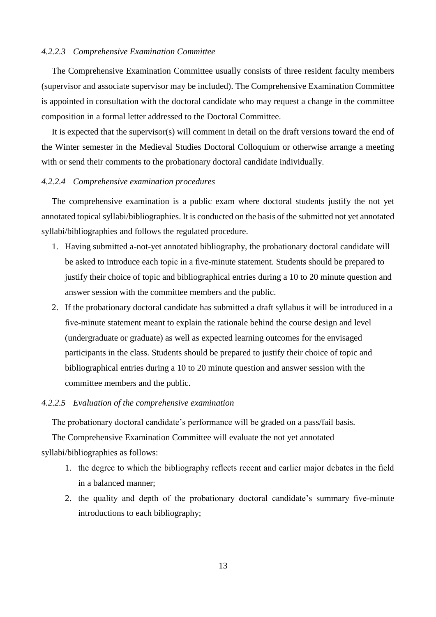## *4.2.2.3 Comprehensive Examination Committee*

The Comprehensive Examination Committee usually consists of three resident faculty members (supervisor and associate supervisor may be included). The Comprehensive Examination Committee is appointed in consultation with the doctoral candidate who may request a change in the committee composition in a formal letter addressed to the Doctoral Committee.

It is expected that the supervisor(s) will comment in detail on the draft versions toward the end of the Winter semester in the Medieval Studies Doctoral Colloquium or otherwise arrange a meeting with or send their comments to the probationary doctoral candidate individually.

## *4.2.2.4 Comprehensive examination procedures*

The comprehensive examination is a public exam where doctoral students justify the not yet annotated topical syllabi/bibliographies. It is conducted on the basis of the submitted not yet annotated syllabi/bibliographies and follows the regulated procedure.

- 1. Having submitted a-not-yet annotated bibliography, the probationary doctoral candidate will be asked to introduce each topic in a five-minute statement. Students should be prepared to justify their choice of topic and bibliographical entries during a 10 to 20 minute question and answer session with the committee members and the public.
- 2. If the probationary doctoral candidate has submitted a draft syllabus it will be introduced in a five-minute statement meant to explain the rationale behind the course design and level (undergraduate or graduate) as well as expected learning outcomes for the envisaged participants in the class. Students should be prepared to justify their choice of topic and bibliographical entries during a 10 to 20 minute question and answer session with the committee members and the public.

## *4.2.2.5 Evaluation of the comprehensive examination*

The probationary doctoral candidate's performance will be graded on a pass/fail basis.

The Comprehensive Examination Committee will evaluate the not yet annotated syllabi/bibliographies as follows:

- 1. the degree to which the bibliography reflects recent and earlier major debates in the field in a balanced manner;
- 2. the quality and depth of the probationary doctoral candidate's summary five-minute introductions to each bibliography;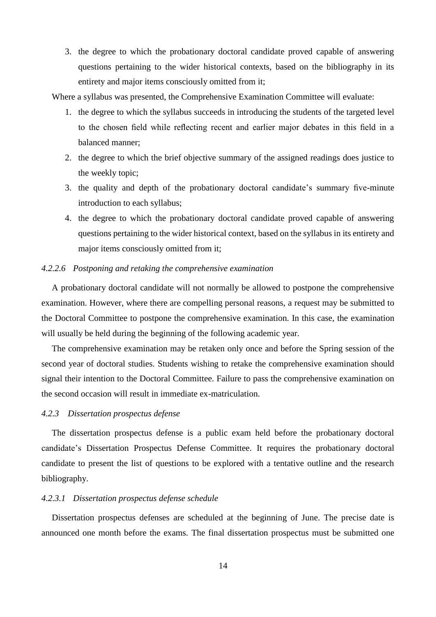3. the degree to which the probationary doctoral candidate proved capable of answering questions pertaining to the wider historical contexts, based on the bibliography in its entirety and major items consciously omitted from it;

Where a syllabus was presented, the Comprehensive Examination Committee will evaluate:

- 1. the degree to which the syllabus succeeds in introducing the students of the targeted level to the chosen field while reflecting recent and earlier major debates in this field in a balanced manner;
- 2. the degree to which the brief objective summary of the assigned readings does justice to the weekly topic;
- 3. the quality and depth of the probationary doctoral candidate's summary five-minute introduction to each syllabus;
- 4. the degree to which the probationary doctoral candidate proved capable of answering questions pertaining to the wider historical context, based on the syllabus in its entirety and major items consciously omitted from it;

## *4.2.2.6 Postponing and retaking the comprehensive examination*

A probationary doctoral candidate will not normally be allowed to postpone the comprehensive examination. However, where there are compelling personal reasons, a request may be submitted to the Doctoral Committee to postpone the comprehensive examination. In this case, the examination will usually be held during the beginning of the following academic year.

The comprehensive examination may be retaken only once and before the Spring session of the second year of doctoral studies. Students wishing to retake the comprehensive examination should signal their intention to the Doctoral Committee. Failure to pass the comprehensive examination on the second occasion will result in immediate ex-matriculation.

## *4.2.3 Dissertation prospectus defense*

The dissertation prospectus defense is a public exam held before the probationary doctoral candidate's Dissertation Prospectus Defense Committee. It requires the probationary doctoral candidate to present the list of questions to be explored with a tentative outline and the research bibliography.

## *4.2.3.1 Dissertation prospectus defense schedule*

Dissertation prospectus defenses are scheduled at the beginning of June. The precise date is announced one month before the exams. The final dissertation prospectus must be submitted one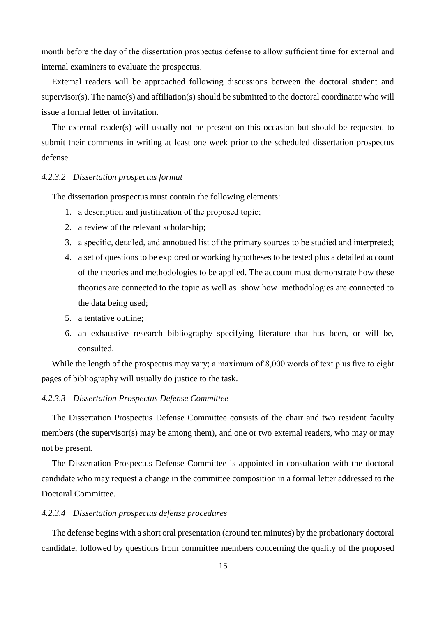month before the day of the dissertation prospectus defense to allow sufficient time for external and internal examiners to evaluate the prospectus.

External readers will be approached following discussions between the doctoral student and supervisor(s). The name(s) and affiliation(s) should be submitted to the doctoral coordinator who will issue a formal letter of invitation.

The external reader(s) will usually not be present on this occasion but should be requested to submit their comments in writing at least one week prior to the scheduled dissertation prospectus defense.

## *4.2.3.2 Dissertation prospectus format*

The dissertation prospectus must contain the following elements:

- 1. a description and justification of the proposed topic;
- 2. a review of the relevant scholarship;
- 3. a specific, detailed, and annotated list of the primary sources to be studied and interpreted;
- 4. a set of questions to be explored or working hypotheses to be tested plus a detailed account of the theories and methodologies to be applied. The account must demonstrate how these theories are connected to the topic as well as show how methodologies are connected to the data being used;
- 5. a tentative outline;
- 6. an exhaustive research bibliography specifying literature that has been, or will be, consulted.

While the length of the prospectus may vary; a maximum of 8,000 words of text plus five to eight pages of bibliography will usually do justice to the task.

## *4.2.3.3 Dissertation Prospectus Defense Committee*

The Dissertation Prospectus Defense Committee consists of the chair and two resident faculty members (the supervisor(s) may be among them), and one or two external readers, who may or may not be present.

The Dissertation Prospectus Defense Committee is appointed in consultation with the doctoral candidate who may request a change in the committee composition in a formal letter addressed to the Doctoral Committee.

## *4.2.3.4 Dissertation prospectus defense procedures*

The defense begins with a short oral presentation (around ten minutes) by the probationary doctoral candidate, followed by questions from committee members concerning the quality of the proposed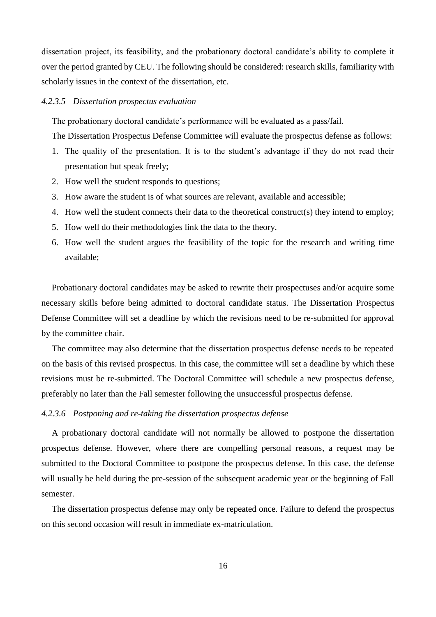dissertation project, its feasibility, and the probationary doctoral candidate's ability to complete it over the period granted by CEU. The following should be considered: research skills, familiarity with scholarly issues in the context of the dissertation, etc.

#### *4.2.3.5 Dissertation prospectus evaluation*

The probationary doctoral candidate's performance will be evaluated as a pass/fail.

The Dissertation Prospectus Defense Committee will evaluate the prospectus defense as follows:

- 1. The quality of the presentation. It is to the student's advantage if they do not read their presentation but speak freely;
- 2. How well the student responds to questions;
- 3. How aware the student is of what sources are relevant, available and accessible;
- 4. How well the student connects their data to the theoretical construct(s) they intend to employ;
- 5. How well do their methodologies link the data to the theory.
- 6. How well the student argues the feasibility of the topic for the research and writing time available;

Probationary doctoral candidates may be asked to rewrite their prospectuses and/or acquire some necessary skills before being admitted to doctoral candidate status. The Dissertation Prospectus Defense Committee will set a deadline by which the revisions need to be re-submitted for approval by the committee chair.

The committee may also determine that the dissertation prospectus defense needs to be repeated on the basis of this revised prospectus. In this case, the committee will set a deadline by which these revisions must be re-submitted. The Doctoral Committee will schedule a new prospectus defense, preferably no later than the Fall semester following the unsuccessful prospectus defense.

## *4.2.3.6 Postponing and re-taking the dissertation prospectus defense*

A probationary doctoral candidate will not normally be allowed to postpone the dissertation prospectus defense. However, where there are compelling personal reasons, a request may be submitted to the Doctoral Committee to postpone the prospectus defense. In this case, the defense will usually be held during the pre-session of the subsequent academic year or the beginning of Fall semester.

The dissertation prospectus defense may only be repeated once. Failure to defend the prospectus on this second occasion will result in immediate ex-matriculation.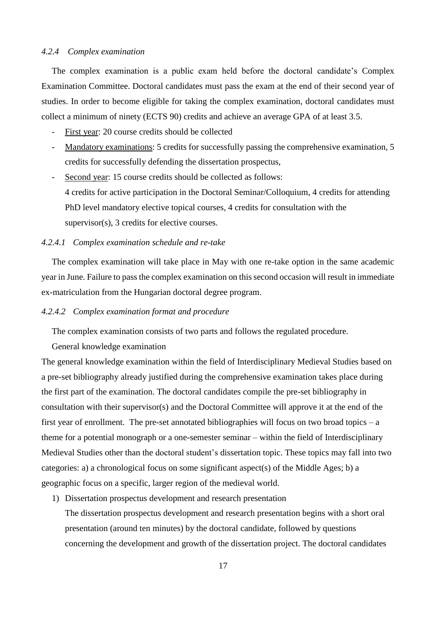## *4.2.4 Complex examination*

The complex examination is a public exam held before the doctoral candidate's Complex Examination Committee. Doctoral candidates must pass the exam at the end of their second year of studies. In order to become eligible for taking the complex examination, doctoral candidates must collect a minimum of ninety (ECTS 90) credits and achieve an average GPA of at least 3.5.

- First year: 20 course credits should be collected
- Mandatory examinations: 5 credits for successfully passing the comprehensive examination, 5 credits for successfully defending the dissertation prospectus,
- Second year: 15 course credits should be collected as follows: 4 credits for active participation in the Doctoral Seminar/Colloquium, 4 credits for attending PhD level mandatory elective topical courses, 4 credits for consultation with the supervisor(s), 3 credits for elective courses.

## *4.2.4.1 Complex examination schedule and re-take*

The complex examination will take place in May with one re-take option in the same academic year in June. Failure to pass the complex examination on this second occasion will result in immediate ex-matriculation from the Hungarian doctoral degree program.

## *4.2.4.2 Complex examination format and procedure*

The complex examination consists of two parts and follows the regulated procedure.

## General knowledge examination

The general knowledge examination within the field of Interdisciplinary Medieval Studies based on a pre-set bibliography already justified during the comprehensive examination takes place during the first part of the examination. The doctoral candidates compile the pre-set bibliography in consultation with their supervisor(s) and the Doctoral Committee will approve it at the end of the first year of enrollment. The pre-set annotated bibliographies will focus on two broad topics – a theme for a potential monograph or a one-semester seminar – within the field of Interdisciplinary Medieval Studies other than the doctoral student's dissertation topic. These topics may fall into two categories: a) a chronological focus on some significant aspect(s) of the Middle Ages; b) a geographic focus on a specific, larger region of the medieval world.

1) Dissertation prospectus development and research presentation

The dissertation prospectus development and research presentation begins with a short oral presentation (around ten minutes) by the doctoral candidate, followed by questions concerning the development and growth of the dissertation project. The doctoral candidates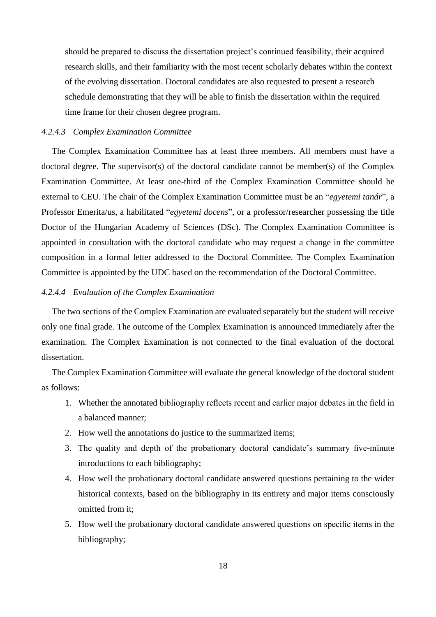should be prepared to discuss the dissertation project's continued feasibility, their acquired research skills, and their familiarity with the most recent scholarly debates within the context of the evolving dissertation. Doctoral candidates are also requested to present a research schedule demonstrating that they will be able to finish the dissertation within the required time frame for their chosen degree program.

## *4.2.4.3 Complex Examination Committee*

The Complex Examination Committee has at least three members. All members must have a doctoral degree. The supervisor(s) of the doctoral candidate cannot be member(s) of the Complex Examination Committee. At least one-third of the Complex Examination Committee should be external to CEU. The chair of the Complex Examination Committee must be an "*egyetemi tanár*", a Professor Emerita/us, a habilitated "*egyetemi docens*", or a professor/researcher possessing the title Doctor of the Hungarian Academy of Sciences (DSc). The Complex Examination Committee is appointed in consultation with the doctoral candidate who may request a change in the committee composition in a formal letter addressed to the Doctoral Committee. The Complex Examination Committee is appointed by the UDC based on the recommendation of the Doctoral Committee.

## *4.2.4.4 Evaluation of the Complex Examination*

The two sections of the Complex Examination are evaluated separately but the student will receive only one final grade. The outcome of the Complex Examination is announced immediately after the examination. The Complex Examination is not connected to the final evaluation of the doctoral dissertation.

The Complex Examination Committee will evaluate the general knowledge of the doctoral student as follows:

- 1. Whether the annotated bibliography reflects recent and earlier major debates in the field in a balanced manner;
- 2. How well the annotations do justice to the summarized items;
- 3. The quality and depth of the probationary doctoral candidate's summary five-minute introductions to each bibliography;
- 4. How well the probationary doctoral candidate answered questions pertaining to the wider historical contexts, based on the bibliography in its entirety and major items consciously omitted from it;
- 5. How well the probationary doctoral candidate answered questions on specific items in the bibliography;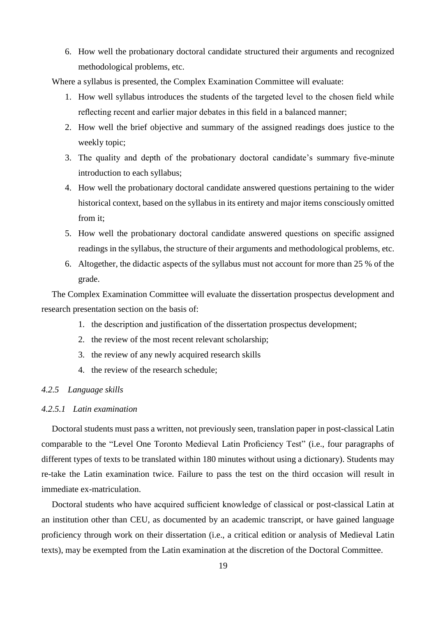6. How well the probationary doctoral candidate structured their arguments and recognized methodological problems, etc.

Where a syllabus is presented, the Complex Examination Committee will evaluate:

- 1. How well syllabus introduces the students of the targeted level to the chosen field while reflecting recent and earlier major debates in this field in a balanced manner;
- 2. How well the brief objective and summary of the assigned readings does justice to the weekly topic;
- 3. The quality and depth of the probationary doctoral candidate's summary five-minute introduction to each syllabus;
- 4. How well the probationary doctoral candidate answered questions pertaining to the wider historical context, based on the syllabus in its entirety and major items consciously omitted from it;
- 5. How well the probationary doctoral candidate answered questions on specific assigned readings in the syllabus, the structure of their arguments and methodological problems, etc.
- 6. Altogether, the didactic aspects of the syllabus must not account for more than 25 % of the grade.

The Complex Examination Committee will evaluate the dissertation prospectus development and research presentation section on the basis of:

- 1. the description and justification of the dissertation prospectus development;
- 2. the review of the most recent relevant scholarship;
- 3. the review of any newly acquired research skills
- 4. the review of the research schedule;

## *4.2.5 Language skills*

## *4.2.5.1 Latin examination*

Doctoral students must pass a written, not previously seen, translation paper in post-classical Latin comparable to the "Level One Toronto Medieval Latin Proficiency Test" (i.e., four paragraphs of different types of texts to be translated within 180 minutes without using a dictionary). Students may re-take the Latin examination twice. Failure to pass the test on the third occasion will result in immediate ex-matriculation.

Doctoral students who have acquired sufficient knowledge of classical or post-classical Latin at an institution other than CEU, as documented by an academic transcript, or have gained language proficiency through work on their dissertation (i.e., a critical edition or analysis of Medieval Latin texts), may be exempted from the Latin examination at the discretion of the Doctoral Committee.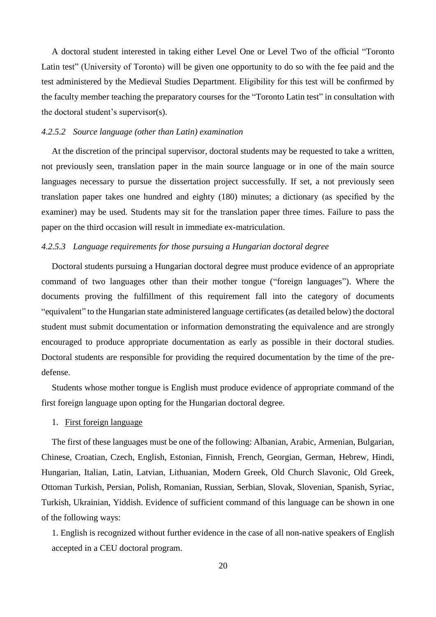A doctoral student interested in taking either Level One or Level Two of the official "Toronto Latin test" (University of Toronto) will be given one opportunity to do so with the fee paid and the test administered by the Medieval Studies Department. Eligibility for this test will be confirmed by the faculty member teaching the preparatory courses for the "Toronto Latin test" in consultation with the doctoral student's supervisor(s).

## *4.2.5.2 Source language (other than Latin) examination*

At the discretion of the principal supervisor, doctoral students may be requested to take a written, not previously seen, translation paper in the main source language or in one of the main source languages necessary to pursue the dissertation project successfully. If set, a not previously seen translation paper takes one hundred and eighty (180) minutes; a dictionary (as specified by the examiner) may be used. Students may sit for the translation paper three times. Failure to pass the paper on the third occasion will result in immediate ex-matriculation.

## *4.2.5.3 Language requirements for those pursuing a Hungarian doctoral degree*

Doctoral students pursuing a Hungarian doctoral degree must produce evidence of an appropriate command of two languages other than their mother tongue ("foreign languages"). Where the documents proving the fulfillment of this requirement fall into the category of documents "equivalent" to the Hungarian state administered language certificates (as detailed below) the doctoral student must submit documentation or information demonstrating the equivalence and are strongly encouraged to produce appropriate documentation as early as possible in their doctoral studies. Doctoral students are responsible for providing the required documentation by the time of the predefense.

Students whose mother tongue is English must produce evidence of appropriate command of the first foreign language upon opting for the Hungarian doctoral degree.

## 1. First foreign language

The first of these languages must be one of the following: Albanian, Arabic, Armenian, Bulgarian, Chinese, Croatian, Czech, English, Estonian, Finnish, French, Georgian, German, Hebrew, Hindi, Hungarian, Italian, Latin, Latvian, Lithuanian, Modern Greek, Old Church Slavonic, Old Greek, Ottoman Turkish, Persian, Polish, Romanian, Russian, Serbian, Slovak, Slovenian, Spanish, Syriac, Turkish, Ukrainian, Yiddish. Evidence of sufficient command of this language can be shown in one of the following ways:

1. English is recognized without further evidence in the case of all non-native speakers of English accepted in a CEU doctoral program.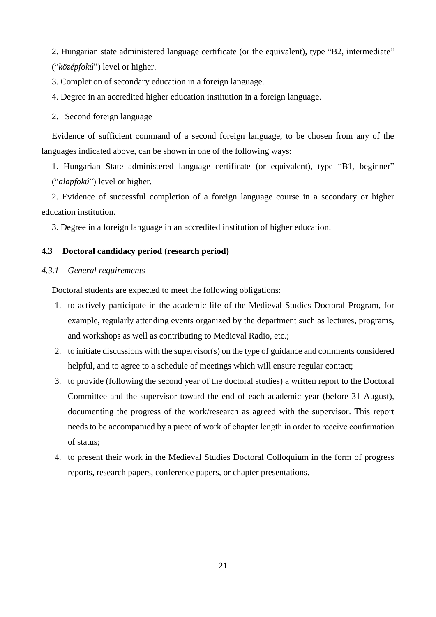2. Hungarian state administered language certificate (or the equivalent), type "B2, intermediate" ("*középfokú*") level or higher.

3. Completion of secondary education in a foreign language.

4. Degree in an accredited higher education institution in a foreign language.

## 2. Second foreign language

Evidence of sufficient command of a second foreign language, to be chosen from any of the languages indicated above, can be shown in one of the following ways:

1. Hungarian State administered language certificate (or equivalent), type "B1, beginner" ("*alapfokú*") level or higher.

2. Evidence of successful completion of a foreign language course in a secondary or higher education institution.

3. Degree in a foreign language in an accredited institution of higher education.

## **4.3 Doctoral candidacy period (research period)**

## *4.3.1 General requirements*

Doctoral students are expected to meet the following obligations:

- 1. to actively participate in the academic life of the Medieval Studies Doctoral Program, for example, regularly attending events organized by the department such as lectures, programs, and workshops as well as contributing to Medieval Radio, etc.;
- 2. to initiate discussions with the supervisor(s) on the type of guidance and comments considered helpful, and to agree to a schedule of meetings which will ensure regular contact;
- 3. to provide (following the second year of the doctoral studies) a written report to the Doctoral Committee and the supervisor toward the end of each academic year (before 31 August), documenting the progress of the work/research as agreed with the supervisor. This report needs to be accompanied by a piece of work of chapter length in order to receive confirmation of status;
- 4. to present their work in the Medieval Studies Doctoral Colloquium in the form of progress reports, research papers, conference papers, or chapter presentations.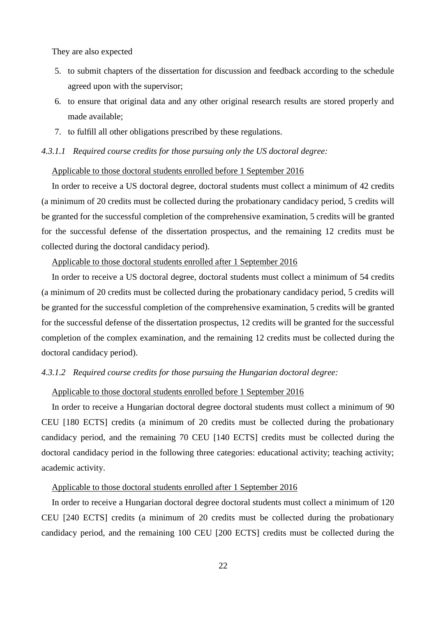They are also expected

- 5. to submit chapters of the dissertation for discussion and feedback according to the schedule agreed upon with the supervisor;
- 6. to ensure that original data and any other original research results are stored properly and made available;
- 7. to fulfill all other obligations prescribed by these regulations.

## *4.3.1.1 Required course credits for those pursuing only the US doctoral degree:*

#### Applicable to those doctoral students enrolled before 1 September 2016

In order to receive a US doctoral degree, doctoral students must collect a minimum of 42 credits (a minimum of 20 credits must be collected during the probationary candidacy period, 5 credits will be granted for the successful completion of the comprehensive examination, 5 credits will be granted for the successful defense of the dissertation prospectus, and the remaining 12 credits must be collected during the doctoral candidacy period).

## Applicable to those doctoral students enrolled after 1 September 2016

In order to receive a US doctoral degree, doctoral students must collect a minimum of 54 credits (a minimum of 20 credits must be collected during the probationary candidacy period, 5 credits will be granted for the successful completion of the comprehensive examination, 5 credits will be granted for the successful defense of the dissertation prospectus, 12 credits will be granted for the successful completion of the complex examination, and the remaining 12 credits must be collected during the doctoral candidacy period).

## *4.3.1.2 Required course credits for those pursuing the Hungarian doctoral degree:*

## Applicable to those doctoral students enrolled before 1 September 2016

In order to receive a Hungarian doctoral degree doctoral students must collect a minimum of 90 CEU [180 ECTS] credits (a minimum of 20 credits must be collected during the probationary candidacy period, and the remaining 70 CEU [140 ECTS] credits must be collected during the doctoral candidacy period in the following three categories: educational activity; teaching activity; academic activity.

## Applicable to those doctoral students enrolled after 1 September 2016

In order to receive a Hungarian doctoral degree doctoral students must collect a minimum of 120 CEU [240 ECTS] credits (a minimum of 20 credits must be collected during the probationary candidacy period, and the remaining 100 CEU [200 ECTS] credits must be collected during the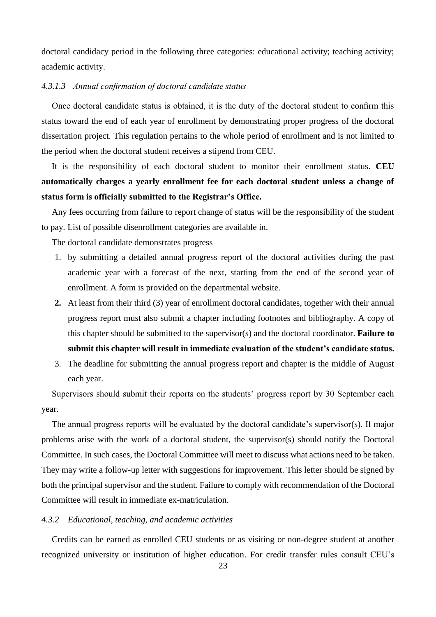doctoral candidacy period in the following three categories: educational activity; teaching activity; academic activity.

## *4.3.1.3 Annual confirmation of doctoral candidate status*

Once doctoral candidate status is obtained, it is the duty of the doctoral student to confirm this status toward the end of each year of enrollment by demonstrating proper progress of the doctoral dissertation project. This regulation pertains to the whole period of enrollment and is not limited to the period when the doctoral student receives a stipend from CEU.

It is the responsibility of each doctoral student to monitor their enrollment status. **CEU automatically charges a yearly enrollment fee for each doctoral student unless a change of status form is officially submitted to the Registrar's Office.** 

Any fees occurring from failure to report change of status will be the responsibility of the student to pay. List of possible disenrollment categories are available in.

The doctoral candidate demonstrates progress

- 1. by submitting a detailed annual progress report of the doctoral activities during the past academic year with a forecast of the next, starting from the end of the second year of enrollment. A form is provided on the departmental website.
- **2.** At least from their third (3) year of enrollment doctoral candidates, together with their annual progress report must also submit a chapter including footnotes and bibliography. A copy of this chapter should be submitted to the supervisor(s) and the doctoral coordinator. **Failure to submit this chapter will result in immediate evaluation of the student's candidate status.**
- 3. The deadline for submitting the annual progress report and chapter is the middle of August each year.

Supervisors should submit their reports on the students' progress report by 30 September each year.

The annual progress reports will be evaluated by the doctoral candidate's supervisor(s). If major problems arise with the work of a doctoral student, the supervisor(s) should notify the Doctoral Committee. In such cases, the Doctoral Committee will meet to discuss what actions need to be taken. They may write a follow-up letter with suggestions for improvement. This letter should be signed by both the principal supervisor and the student. Failure to comply with recommendation of the Doctoral Committee will result in immediate ex-matriculation.

## *4.3.2 Educational, teaching, and academic activities*

Credits can be earned as enrolled CEU students or as visiting or non-degree student at another recognized university or institution of higher education. For credit transfer rules consult CEU's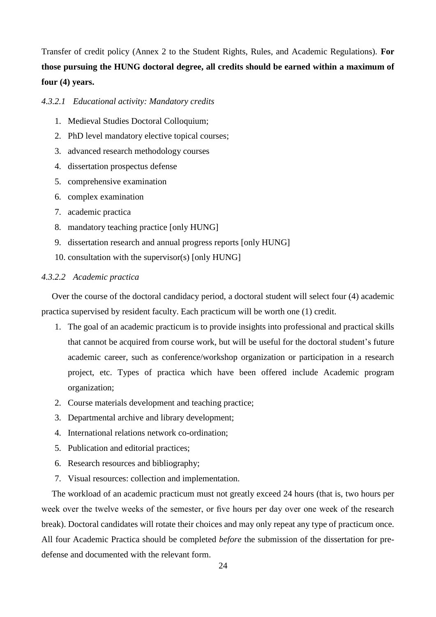Transfer of credit policy (Annex 2 to the Student Rights, Rules, and Academic Regulations). **For those pursuing the HUNG doctoral degree, all credits should be earned within a maximum of four (4) years.**

*4.3.2.1 Educational activity: Mandatory credits*

- 1. Medieval Studies Doctoral Colloquium;
- 2. PhD level mandatory elective topical courses;
- 3. advanced research methodology courses
- 4. dissertation prospectus defense
- 5. comprehensive examination
- 6. complex examination
- 7. academic practica
- 8. mandatory teaching practice [only HUNG]
- 9. dissertation research and annual progress reports [only HUNG]
- 10. consultation with the supervisor(s) [only HUNG]

## *4.3.2.2 Academic practica*

Over the course of the doctoral candidacy period, a doctoral student will select four (4) academic practica supervised by resident faculty. Each practicum will be worth one (1) credit.

- 1. The goal of an academic practicum is to provide insights into professional and practical skills that cannot be acquired from course work, but will be useful for the doctoral student's future academic career, such as conference/workshop organization or participation in a research project, etc. Types of practica which have been offered include Academic program organization;
- 2. Course materials development and teaching practice;
- 3. Departmental archive and library development;
- 4. International relations network co-ordination;
- 5. Publication and editorial practices;
- 6. Research resources and bibliography;
- 7. Visual resources: collection and implementation.

The workload of an academic practicum must not greatly exceed 24 hours (that is, two hours per week over the twelve weeks of the semester, or five hours per day over one week of the research break). Doctoral candidates will rotate their choices and may only repeat any type of practicum once. All four Academic Practica should be completed *before* the submission of the dissertation for predefense and documented with the relevant form.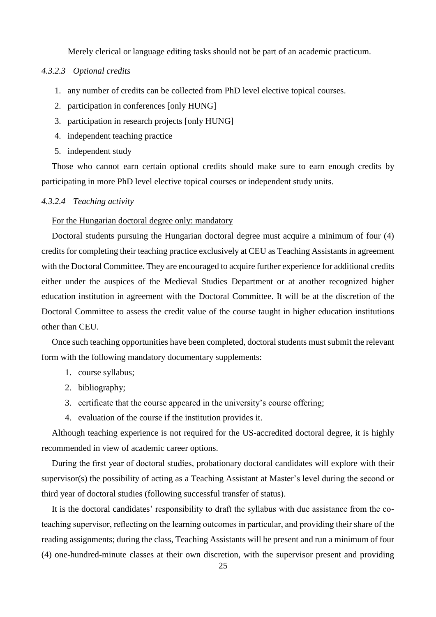Merely clerical or language editing tasks should not be part of an academic practicum.

## *4.3.2.3 Optional credits*

- 1. any number of credits can be collected from PhD level elective topical courses.
- 2. participation in conferences [only HUNG]
- 3. participation in research projects [only HUNG]
- 4. independent teaching practice
- 5. independent study

Those who cannot earn certain optional credits should make sure to earn enough credits by participating in more PhD level elective topical courses or independent study units.

### *4.3.2.4 Teaching activity*

## For the Hungarian doctoral degree only: mandatory

Doctoral students pursuing the Hungarian doctoral degree must acquire a minimum of four (4) credits for completing their teaching practice exclusively at CEU as Teaching Assistants in agreement with the Doctoral Committee. They are encouraged to acquire further experience for additional credits either under the auspices of the Medieval Studies Department or at another recognized higher education institution in agreement with the Doctoral Committee. It will be at the discretion of the Doctoral Committee to assess the credit value of the course taught in higher education institutions other than CEU.

Once such teaching opportunities have been completed, doctoral students must submit the relevant form with the following mandatory documentary supplements:

- 1. course syllabus;
- 2. bibliography;
- 3. certificate that the course appeared in the university's course offering;
- 4. evaluation of the course if the institution provides it.

Although teaching experience is not required for the US-accredited doctoral degree, it is highly recommended in view of academic career options.

During the first year of doctoral studies, probationary doctoral candidates will explore with their supervisor(s) the possibility of acting as a Teaching Assistant at Master's level during the second or third year of doctoral studies (following successful transfer of status).

It is the doctoral candidates' responsibility to draft the syllabus with due assistance from the coteaching supervisor, reflecting on the learning outcomes in particular, and providing their share of the reading assignments; during the class, Teaching Assistants will be present and run a minimum of four (4) one-hundred-minute classes at their own discretion, with the supervisor present and providing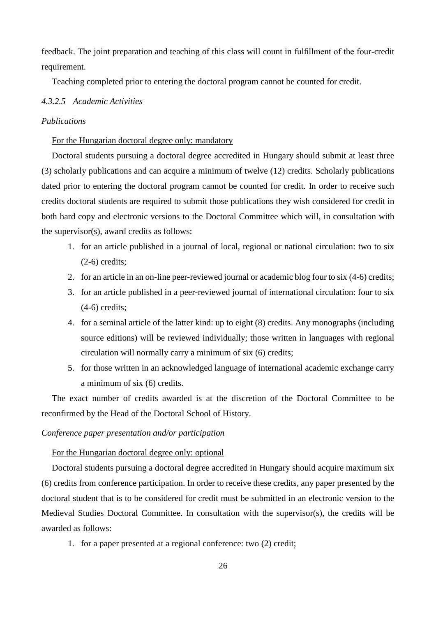feedback. The joint preparation and teaching of this class will count in fulfillment of the four-credit requirement.

Teaching completed prior to entering the doctoral program cannot be counted for credit.

## *4.3.2.5 Academic Activities*

#### *Publications*

## For the Hungarian doctoral degree only: mandatory

Doctoral students pursuing a doctoral degree accredited in Hungary should submit at least three (3) scholarly publications and can acquire a minimum of twelve (12) credits. Scholarly publications dated prior to entering the doctoral program cannot be counted for credit. In order to receive such credits doctoral students are required to submit those publications they wish considered for credit in both hard copy and electronic versions to the Doctoral Committee which will, in consultation with the supervisor(s), award credits as follows:

- 1. for an article published in a journal of local, regional or national circulation: two to six (2-6) credits;
- 2. for an article in an on-line peer-reviewed journal or academic blog four to six (4-6) credits;
- 3. for an article published in a peer-reviewed journal of international circulation: four to six (4-6) credits;
- 4. for a seminal article of the latter kind: up to eight (8) credits. Any monographs (including source editions) will be reviewed individually; those written in languages with regional circulation will normally carry a minimum of six (6) credits;
- 5. for those written in an acknowledged language of international academic exchange carry a minimum of six (6) credits.

The exact number of credits awarded is at the discretion of the Doctoral Committee to be reconfirmed by the Head of the Doctoral School of History.

## *Conference paper presentation and/or participation*

#### For the Hungarian doctoral degree only: optional

Doctoral students pursuing a doctoral degree accredited in Hungary should acquire maximum six (6) credits from conference participation. In order to receive these credits, any paper presented by the doctoral student that is to be considered for credit must be submitted in an electronic version to the Medieval Studies Doctoral Committee. In consultation with the supervisor(s), the credits will be awarded as follows:

1. for a paper presented at a regional conference: two (2) credit;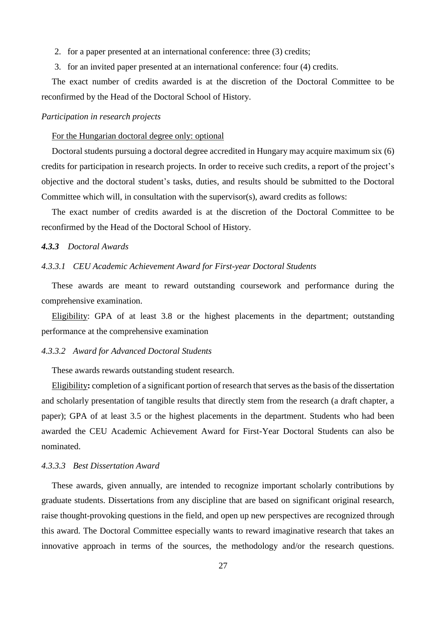- 2. for a paper presented at an international conference: three (3) credits;
- 3. for an invited paper presented at an international conference: four (4) credits.

The exact number of credits awarded is at the discretion of the Doctoral Committee to be reconfirmed by the Head of the Doctoral School of History.

## *Participation in research projects*

#### For the Hungarian doctoral degree only: optional

Doctoral students pursuing a doctoral degree accredited in Hungary may acquire maximum six (6) credits for participation in research projects. In order to receive such credits, a report of the project's objective and the doctoral student's tasks, duties, and results should be submitted to the Doctoral Committee which will, in consultation with the supervisor(s), award credits as follows:

The exact number of credits awarded is at the discretion of the Doctoral Committee to be reconfirmed by the Head of the Doctoral School of History.

## *4.3.3 Doctoral Awards*

#### *4.3.3.1 CEU Academic Achievement Award for First-year Doctoral Students*

These awards are meant to reward outstanding coursework and performance during the comprehensive examination.

Eligibility: GPA of at least 3.8 or the highest placements in the department; outstanding performance at the comprehensive examination

## *4.3.3.2 Award for Advanced Doctoral Students*

These awards rewards outstanding student research.

Eligibility**:** completion of a significant portion of research that serves as the basis of the dissertation and scholarly presentation of tangible results that directly stem from the research (a draft chapter, a paper); GPA of at least 3.5 or the highest placements in the department. Students who had been awarded the CEU Academic Achievement Award for First-Year Doctoral Students can also be nominated.

## *4.3.3.3 Best Dissertation Award*

These awards, given annually, are intended to recognize important scholarly contributions by graduate students. Dissertations from any discipline that are based on significant original research, raise thought-provoking questions in the field, and open up new perspectives are recognized through this award. The Doctoral Committee especially wants to reward imaginative research that takes an innovative approach in terms of the sources, the methodology and/or the research questions.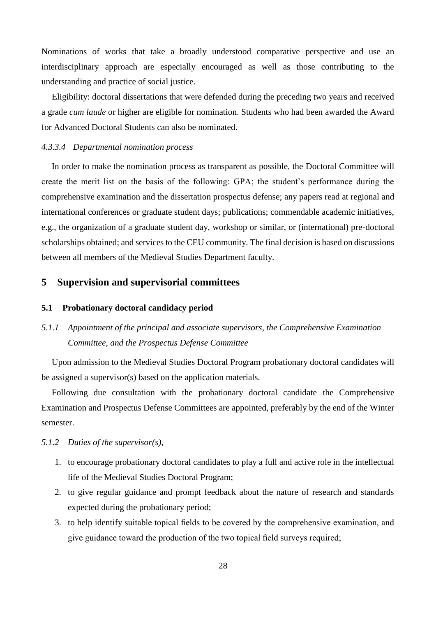Nominations of works that take a broadly understood comparative perspective and use an interdisciplinary approach are especially encouraged as well as those contributing to the understanding and practice of social justice.

Eligibility: doctoral dissertations that were defended during the preceding two years and received a grade *cum laude* or higher are eligible for nomination. Students who had been awarded the Award for Advanced Doctoral Students can also be nominated.

## *4.3.3.4 Departmental nomination process*

In order to make the nomination process as transparent as possible, the Doctoral Committee will create the merit list on the basis of the following: GPA; the student's performance during the comprehensive examination and the dissertation prospectus defense; any papers read at regional and international conferences or graduate student days; publications; commendable academic initiatives, e.g., the organization of a graduate student day, workshop or similar, or (international) pre-doctoral scholarships obtained; and services to the CEU community. The final decision is based on discussions between all members of the Medieval Studies Department faculty.

## **5 Supervision and supervisorial committees**

#### **5.1 Probationary doctoral candidacy period**

# *5.1.1 Appointment of the principal and associate supervisors, the Comprehensive Examination Committee, and the Prospectus Defense Committee*

Upon admission to the Medieval Studies Doctoral Program probationary doctoral candidates will be assigned a supervisor(s) based on the application materials.

Following due consultation with the probationary doctoral candidate the Comprehensive Examination and Prospectus Defense Committees are appointed, preferably by the end of the Winter semester.

## *5.1.2 Duties of the supervisor(s),*

- 1. to encourage probationary doctoral candidates to play a full and active role in the intellectual life of the Medieval Studies Doctoral Program;
- 2. to give regular guidance and prompt feedback about the nature of research and standards expected during the probationary period;
- 3. to help identify suitable topical fields to be covered by the comprehensive examination, and give guidance toward the production of the two topical field surveys required;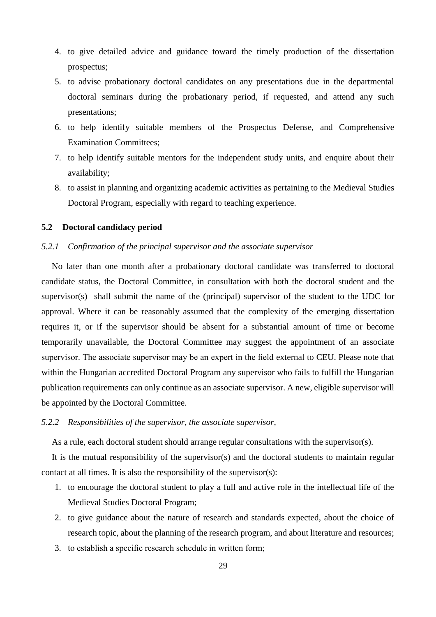- 4. to give detailed advice and guidance toward the timely production of the dissertation prospectus;
- 5. to advise probationary doctoral candidates on any presentations due in the departmental doctoral seminars during the probationary period, if requested, and attend any such presentations;
- 6. to help identify suitable members of the Prospectus Defense, and Comprehensive Examination Committees;
- 7. to help identify suitable mentors for the independent study units, and enquire about their availability;
- 8. to assist in planning and organizing academic activities as pertaining to the Medieval Studies Doctoral Program, especially with regard to teaching experience.

#### **5.2 Doctoral candidacy period**

## *5.2.1 Confirmation of the principal supervisor and the associate supervisor*

No later than one month after a probationary doctoral candidate was transferred to doctoral candidate status, the Doctoral Committee, in consultation with both the doctoral student and the supervisor(s) shall submit the name of the (principal) supervisor of the student to the UDC for approval. Where it can be reasonably assumed that the complexity of the emerging dissertation requires it, or if the supervisor should be absent for a substantial amount of time or become temporarily unavailable, the Doctoral Committee may suggest the appointment of an associate supervisor. The associate supervisor may be an expert in the field external to CEU. Please note that within the Hungarian accredited Doctoral Program any supervisor who fails to fulfill the Hungarian publication requirements can only continue as an associate supervisor. A new, eligible supervisor will be appointed by the Doctoral Committee.

## *5.2.2 Responsibilities of the supervisor, the associate supervisor,*

As a rule, each doctoral student should arrange regular consultations with the supervisor(s).

It is the mutual responsibility of the supervisor(s) and the doctoral students to maintain regular contact at all times. It is also the responsibility of the supervisor(s):

- 1. to encourage the doctoral student to play a full and active role in the intellectual life of the Medieval Studies Doctoral Program;
- 2. to give guidance about the nature of research and standards expected, about the choice of research topic, about the planning of the research program, and about literature and resources;
- 3. to establish a specific research schedule in written form;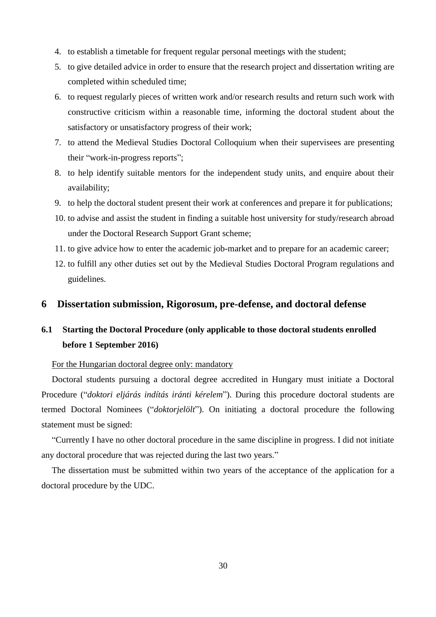- 4. to establish a timetable for frequent regular personal meetings with the student;
- 5. to give detailed advice in order to ensure that the research project and dissertation writing are completed within scheduled time;
- 6. to request regularly pieces of written work and/or research results and return such work with constructive criticism within a reasonable time, informing the doctoral student about the satisfactory or unsatisfactory progress of their work;
- 7. to attend the Medieval Studies Doctoral Colloquium when their supervisees are presenting their "work-in-progress reports";
- 8. to help identify suitable mentors for the independent study units, and enquire about their availability;
- 9. to help the doctoral student present their work at conferences and prepare it for publications;
- 10. to advise and assist the student in finding a suitable host university for study/research abroad under the Doctoral Research Support Grant scheme;
- 11. to give advice how to enter the academic job-market and to prepare for an academic career;
- 12. to fulfill any other duties set out by the Medieval Studies Doctoral Program regulations and guidelines.

## **6 Dissertation submission, Rigorosum, pre-defense, and doctoral defense**

# **6.1 Starting the Doctoral Procedure (only applicable to those doctoral students enrolled before 1 September 2016)**

## For the Hungarian doctoral degree only: mandatory

Doctoral students pursuing a doctoral degree accredited in Hungary must initiate a Doctoral Procedure ("*doktori eljárás indítás iránti kérelem*"). During this procedure doctoral students are termed Doctoral Nominees ("*doktorjelölt*"). On initiating a doctoral procedure the following statement must be signed:

"Currently I have no other doctoral procedure in the same discipline in progress. I did not initiate any doctoral procedure that was rejected during the last two years."

The dissertation must be submitted within two years of the acceptance of the application for a doctoral procedure by the UDC.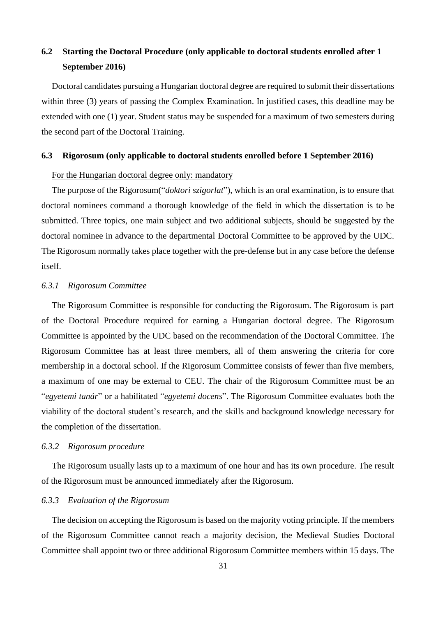# **6.2 Starting the Doctoral Procedure (only applicable to doctoral students enrolled after 1 September 2016)**

Doctoral candidates pursuing a Hungarian doctoral degree are required to submit their dissertations within three (3) years of passing the Complex Examination. In justified cases, this deadline may be extended with one (1) year. Student status may be suspended for a maximum of two semesters during the second part of the Doctoral Training.

#### **6.3 Rigorosum (only applicable to doctoral students enrolled before 1 September 2016)**

## For the Hungarian doctoral degree only: mandatory

The purpose of the Rigorosum("*doktori szigorlat*"), which is an oral examination, is to ensure that doctoral nominees command a thorough knowledge of the field in which the dissertation is to be submitted. Three topics, one main subject and two additional subjects, should be suggested by the doctoral nominee in advance to the departmental Doctoral Committee to be approved by the UDC. The Rigorosum normally takes place together with the pre-defense but in any case before the defense itself.

## *6.3.1 Rigorosum Committee*

The Rigorosum Committee is responsible for conducting the Rigorosum. The Rigorosum is part of the Doctoral Procedure required for earning a Hungarian doctoral degree. The Rigorosum Committee is appointed by the UDC based on the recommendation of the Doctoral Committee. The Rigorosum Committee has at least three members, all of them answering the criteria for core membership in a doctoral school. If the Rigorosum Committee consists of fewer than five members, a maximum of one may be external to CEU. The chair of the Rigorosum Committee must be an "*egyetemi tanár*" or a habilitated "*egyetemi docens*". The Rigorosum Committee evaluates both the viability of the doctoral student's research, and the skills and background knowledge necessary for the completion of the dissertation.

## *6.3.2 Rigorosum procedure*

The Rigorosum usually lasts up to a maximum of one hour and has its own procedure. The result of the Rigorosum must be announced immediately after the Rigorosum.

## *6.3.3 Evaluation of the Rigorosum*

The decision on accepting the Rigorosum is based on the majority voting principle. If the members of the Rigorosum Committee cannot reach a majority decision, the Medieval Studies Doctoral Committee shall appoint two or three additional Rigorosum Committee members within 15 days. The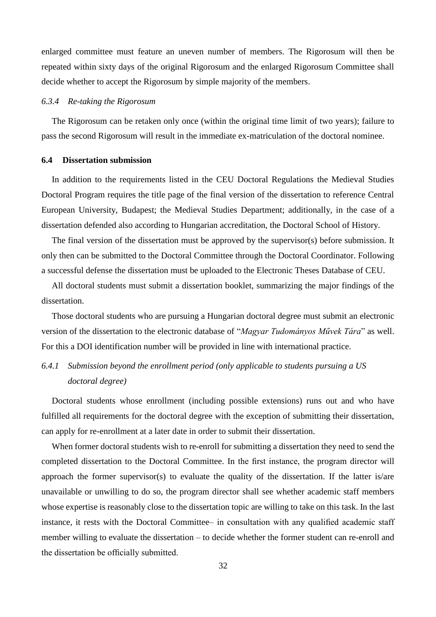enlarged committee must feature an uneven number of members. The Rigorosum will then be repeated within sixty days of the original Rigorosum and the enlarged Rigorosum Committee shall decide whether to accept the Rigorosum by simple majority of the members.

## *6.3.4 Re-taking the Rigorosum*

The Rigorosum can be retaken only once (within the original time limit of two years); failure to pass the second Rigorosum will result in the immediate ex-matriculation of the doctoral nominee.

#### **6.4 Dissertation submission**

In addition to the requirements listed in the CEU Doctoral Regulations the Medieval Studies Doctoral Program requires the title page of the final version of the dissertation to reference Central European University, Budapest; the Medieval Studies Department; additionally, in the case of a dissertation defended also according to Hungarian accreditation, the Doctoral School of History.

The final version of the dissertation must be approved by the supervisor(s) before submission. It only then can be submitted to the Doctoral Committee through the Doctoral Coordinator. Following a successful defense the dissertation must be uploaded to the Electronic Theses Database of CEU.

All doctoral students must submit a dissertation booklet, summarizing the major findings of the dissertation.

Those doctoral students who are pursuing a Hungarian doctoral degree must submit an electronic version of the dissertation to the electronic database of "*Magyar Tudományos Művek Tára*" as well. For this a DOI identification number will be provided in line with international practice.

# *6.4.1 Submission beyond the enrollment period (only applicable to students pursuing a US doctoral degree)*

Doctoral students whose enrollment (including possible extensions) runs out and who have fulfilled all requirements for the doctoral degree with the exception of submitting their dissertation, can apply for re-enrollment at a later date in order to submit their dissertation.

When former doctoral students wish to re-enroll for submitting a dissertation they need to send the completed dissertation to the Doctoral Committee. In the first instance, the program director will approach the former supervisor(s) to evaluate the quality of the dissertation. If the latter is/are unavailable or unwilling to do so, the program director shall see whether academic staff members whose expertise is reasonably close to the dissertation topic are willing to take on this task. In the last instance, it rests with the Doctoral Committee– in consultation with any qualified academic staff member willing to evaluate the dissertation – to decide whether the former student can re-enroll and the dissertation be officially submitted.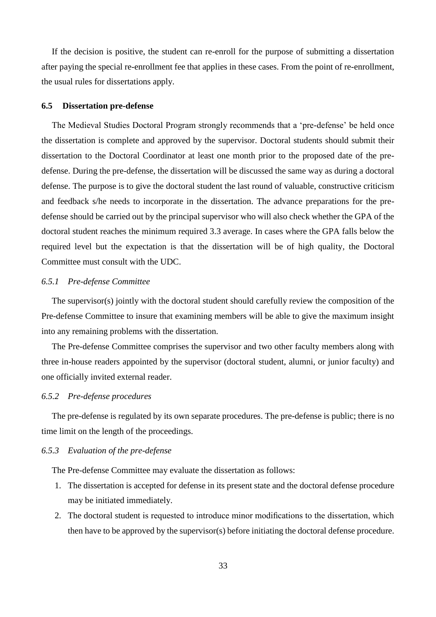If the decision is positive, the student can re-enroll for the purpose of submitting a dissertation after paying the special re-enrollment fee that applies in these cases. From the point of re-enrollment, the usual rules for dissertations apply.

#### **6.5 Dissertation pre-defense**

The Medieval Studies Doctoral Program strongly recommends that a 'pre-defense' be held once the dissertation is complete and approved by the supervisor. Doctoral students should submit their dissertation to the Doctoral Coordinator at least one month prior to the proposed date of the predefense. During the pre-defense, the dissertation will be discussed the same way as during a doctoral defense. The purpose is to give the doctoral student the last round of valuable, constructive criticism and feedback s/he needs to incorporate in the dissertation. The advance preparations for the predefense should be carried out by the principal supervisor who will also check whether the GPA of the doctoral student reaches the minimum required 3.3 average. In cases where the GPA falls below the required level but the expectation is that the dissertation will be of high quality, the Doctoral Committee must consult with the UDC.

## *6.5.1 Pre-defense Committee*

The supervisor(s) jointly with the doctoral student should carefully review the composition of the Pre-defense Committee to insure that examining members will be able to give the maximum insight into any remaining problems with the dissertation.

The Pre-defense Committee comprises the supervisor and two other faculty members along with three in-house readers appointed by the supervisor (doctoral student, alumni, or junior faculty) and one officially invited external reader.

## *6.5.2 Pre-defense procedures*

The pre-defense is regulated by its own separate procedures. The pre-defense is public; there is no time limit on the length of the proceedings.

#### *6.5.3 Evaluation of the pre-defense*

The Pre-defense Committee may evaluate the dissertation as follows:

- 1. The dissertation is accepted for defense in its present state and the doctoral defense procedure may be initiated immediately.
- 2. The doctoral student is requested to introduce minor modifications to the dissertation, which then have to be approved by the supervisor(s) before initiating the doctoral defense procedure.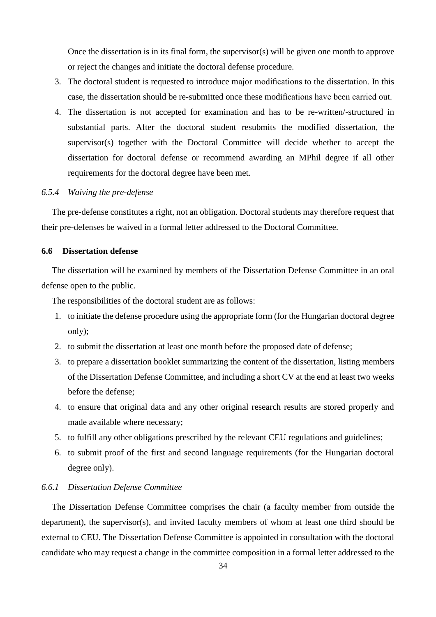Once the dissertation is in its final form, the supervisor(s) will be given one month to approve or reject the changes and initiate the doctoral defense procedure.

- 3. The doctoral student is requested to introduce major modifications to the dissertation. In this case, the dissertation should be re-submitted once these modifications have been carried out.
- 4. The dissertation is not accepted for examination and has to be re-written/-structured in substantial parts. After the doctoral student resubmits the modified dissertation, the supervisor(s) together with the Doctoral Committee will decide whether to accept the dissertation for doctoral defense or recommend awarding an MPhil degree if all other requirements for the doctoral degree have been met.

## *6.5.4 Waiving the pre-defense*

The pre-defense constitutes a right, not an obligation. Doctoral students may therefore request that their pre-defenses be waived in a formal letter addressed to the Doctoral Committee.

## **6.6 Dissertation defense**

The dissertation will be examined by members of the Dissertation Defense Committee in an oral defense open to the public.

The responsibilities of the doctoral student are as follows:

- 1. to initiate the defense procedure using the appropriate form (for the Hungarian doctoral degree only);
- 2. to submit the dissertation at least one month before the proposed date of defense;
- 3. to prepare a dissertation booklet summarizing the content of the dissertation, listing members of the Dissertation Defense Committee, and including a short CV at the end at least two weeks before the defense;
- 4. to ensure that original data and any other original research results are stored properly and made available where necessary;
- 5. to fulfill any other obligations prescribed by the relevant CEU regulations and guidelines;
- 6. to submit proof of the first and second language requirements (for the Hungarian doctoral degree only).

## *6.6.1 Dissertation Defense Committee*

The Dissertation Defense Committee comprises the chair (a faculty member from outside the department), the supervisor(s), and invited faculty members of whom at least one third should be external to CEU. The Dissertation Defense Committee is appointed in consultation with the doctoral candidate who may request a change in the committee composition in a formal letter addressed to the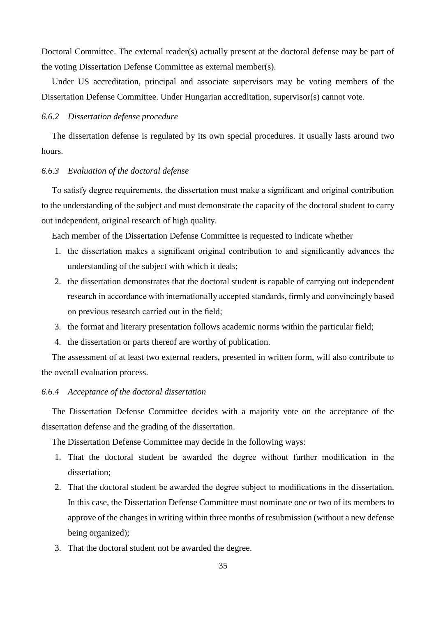Doctoral Committee. The external reader(s) actually present at the doctoral defense may be part of the voting Dissertation Defense Committee as external member(s).

Under US accreditation, principal and associate supervisors may be voting members of the Dissertation Defense Committee. Under Hungarian accreditation, supervisor(s) cannot vote.

## *6.6.2 Dissertation defense procedure*

The dissertation defense is regulated by its own special procedures. It usually lasts around two hours.

#### *6.6.3 Evaluation of the doctoral defense*

To satisfy degree requirements, the dissertation must make a significant and original contribution to the understanding of the subject and must demonstrate the capacity of the doctoral student to carry out independent, original research of high quality.

Each member of the Dissertation Defense Committee is requested to indicate whether

- 1. the dissertation makes a significant original contribution to and significantly advances the understanding of the subject with which it deals;
- 2. the dissertation demonstrates that the doctoral student is capable of carrying out independent research in accordance with internationally accepted standards, firmly and convincingly based on previous research carried out in the field;
- 3. the format and literary presentation follows academic norms within the particular field;
- 4. the dissertation or parts thereof are worthy of publication.

The assessment of at least two external readers, presented in written form, will also contribute to the overall evaluation process.

## *6.6.4 Acceptance of the doctoral dissertation*

The Dissertation Defense Committee decides with a majority vote on the acceptance of the dissertation defense and the grading of the dissertation.

The Dissertation Defense Committee may decide in the following ways:

- 1. That the doctoral student be awarded the degree without further modification in the dissertation;
- 2. That the doctoral student be awarded the degree subject to modifications in the dissertation. In this case, the Dissertation Defense Committee must nominate one or two of its members to approve of the changes in writing within three months of resubmission (without a new defense being organized);
- 3. That the doctoral student not be awarded the degree.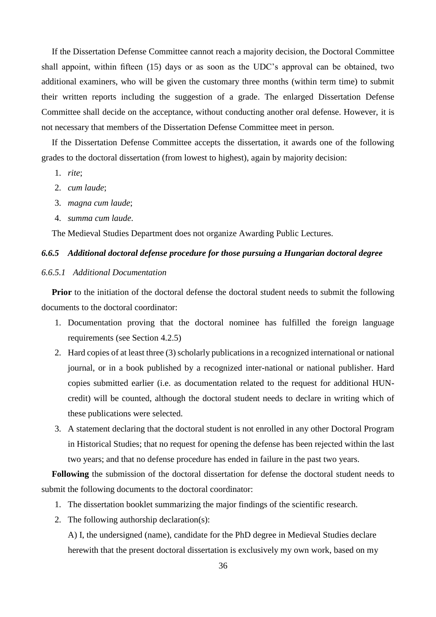If the Dissertation Defense Committee cannot reach a majority decision, the Doctoral Committee shall appoint, within fifteen (15) days or as soon as the UDC's approval can be obtained, two additional examiners, who will be given the customary three months (within term time) to submit their written reports including the suggestion of a grade. The enlarged Dissertation Defense Committee shall decide on the acceptance, without conducting another oral defense. However, it is not necessary that members of the Dissertation Defense Committee meet in person.

If the Dissertation Defense Committee accepts the dissertation, it awards one of the following grades to the doctoral dissertation (from lowest to highest), again by majority decision:

- 1. *rite*;
- 2. *cum laude*;
- 3. *magna cum laude*;
- 4. *summa cum laude*.

The Medieval Studies Department does not organize Awarding Public Lectures.

## *6.6.5 Additional doctoral defense procedure for those pursuing a Hungarian doctoral degree*

## *6.6.5.1 Additional Documentation*

Prior to the initiation of the doctoral defense the doctoral student needs to submit the following documents to the doctoral coordinator:

- 1. Documentation proving that the doctoral nominee has fulfilled the foreign language requirements (see Section 4.2.5)
- 2. Hard copies of at least three (3) scholarly publications in a recognized international or national journal, or in a book published by a recognized inter-national or national publisher. Hard copies submitted earlier (i.e. as documentation related to the request for additional HUNcredit) will be counted, although the doctoral student needs to declare in writing which of these publications were selected.
- 3. A statement declaring that the doctoral student is not enrolled in any other Doctoral Program in Historical Studies; that no request for opening the defense has been rejected within the last two years; and that no defense procedure has ended in failure in the past two years.

**Following** the submission of the doctoral dissertation for defense the doctoral student needs to submit the following documents to the doctoral coordinator:

- 1. The dissertation booklet summarizing the major findings of the scientific research.
- 2. The following authorship declaration(s):

A) I, the undersigned (name), candidate for the PhD degree in Medieval Studies declare herewith that the present doctoral dissertation is exclusively my own work, based on my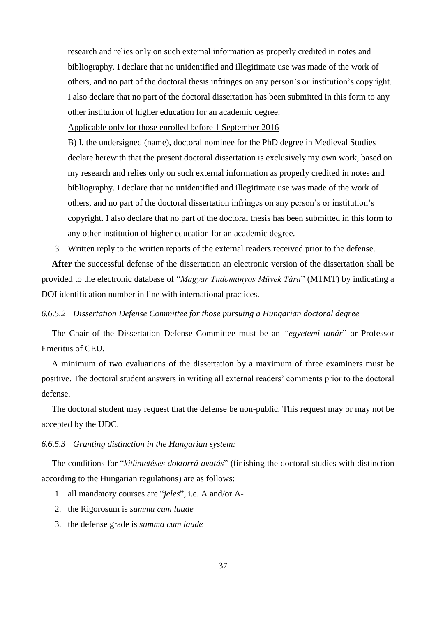research and relies only on such external information as properly credited in notes and bibliography. I declare that no unidentified and illegitimate use was made of the work of others, and no part of the doctoral thesis infringes on any person's or institution's copyright. I also declare that no part of the doctoral dissertation has been submitted in this form to any other institution of higher education for an academic degree.

Applicable only for those enrolled before 1 September 2016

B) I, the undersigned (name), doctoral nominee for the PhD degree in Medieval Studies declare herewith that the present doctoral dissertation is exclusively my own work, based on my research and relies only on such external information as properly credited in notes and bibliography. I declare that no unidentified and illegitimate use was made of the work of others, and no part of the doctoral dissertation infringes on any person's or institution's copyright. I also declare that no part of the doctoral thesis has been submitted in this form to any other institution of higher education for an academic degree.

3. Written reply to the written reports of the external readers received prior to the defense.

**After** the successful defense of the dissertation an electronic version of the dissertation shall be provided to the electronic database of "*Magyar Tudományos Művek Tára*" (MTMT) by indicating a DOI identification number in line with international practices.

## *6.6.5.2 Dissertation Defense Committee for those pursuing a Hungarian doctoral degree*

The Chair of the Dissertation Defense Committee must be an *"egyetemi tanár*" or Professor Emeritus of CEU.

A minimum of two evaluations of the dissertation by a maximum of three examiners must be positive. The doctoral student answers in writing all external readers' comments prior to the doctoral defense.

The doctoral student may request that the defense be non-public. This request may or may not be accepted by the UDC.

#### *6.6.5.3 Granting distinction in the Hungarian system:*

The conditions for "*kitüntetéses doktorrá avatás*" (finishing the doctoral studies with distinction according to the Hungarian regulations) are as follows:

- 1. all mandatory courses are "*jeles*", i.e. A and/or A-
- 2. the Rigorosum is *summa cum laude*
- 3. the defense grade is *summa cum laude*